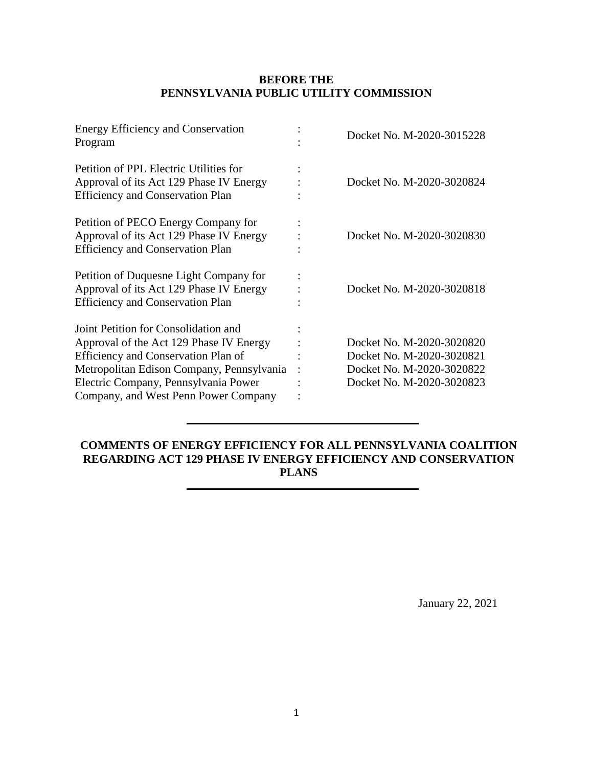## **BEFORE THE PENNSYLVANIA PUBLIC UTILITY COMMISSION**

| <b>Energy Efficiency and Conservation</b><br>Program                                                                                                                                                                                                | Docket No. M-2020-3015228                                                                                        |
|-----------------------------------------------------------------------------------------------------------------------------------------------------------------------------------------------------------------------------------------------------|------------------------------------------------------------------------------------------------------------------|
| Petition of PPL Electric Utilities for<br>Approval of its Act 129 Phase IV Energy<br><b>Efficiency and Conservation Plan</b>                                                                                                                        | Docket No. M-2020-3020824                                                                                        |
| Petition of PECO Energy Company for<br>Approval of its Act 129 Phase IV Energy<br><b>Efficiency and Conservation Plan</b>                                                                                                                           | Docket No. M-2020-3020830                                                                                        |
| Petition of Duquesne Light Company for<br>Approval of its Act 129 Phase IV Energy<br><b>Efficiency and Conservation Plan</b>                                                                                                                        | Docket No. M-2020-3020818                                                                                        |
| Joint Petition for Consolidation and<br>Approval of the Act 129 Phase IV Energy<br>Efficiency and Conservation Plan of<br>Metropolitan Edison Company, Pennsylvania<br>Electric Company, Pennsylvania Power<br>Company, and West Penn Power Company | Docket No. M-2020-3020820<br>Docket No. M-2020-3020821<br>Docket No. M-2020-3020822<br>Docket No. M-2020-3020823 |

# **COMMENTS OF ENERGY EFFICIENCY FOR ALL PENNSYLVANIA COALITION REGARDING ACT 129 PHASE IV ENERGY EFFICIENCY AND CONSERVATION PLANS**

January 22, 2021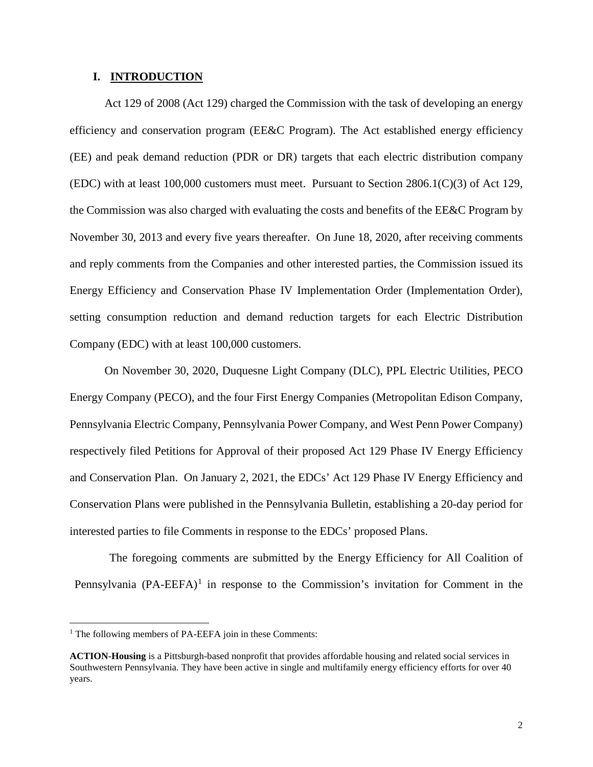#### **I. INTRODUCTION**

Act 129 of 2008 (Act 129) charged the Commission with the task of developing an energy efficiency and conservation program (EE&C Program). The Act established energy efficiency (EE) and peak demand reduction (PDR or DR) targets that each electric distribution company (EDC) with at least  $100,000$  customers must meet. Pursuant to Section 2806.1(C)(3) of Act 129, the Commission was also charged with evaluating the costs and benefits of the EE&C Program by November 30, 2013 and every five years thereafter. On June 18, 2020, after receiving comments and reply comments from the Companies and other interested parties, the Commission issued its Energy Efficiency and Conservation Phase IV Implementation Order (Implementation Order), setting consumption reduction and demand reduction targets for each Electric Distribution Company (EDC) with at least 100,000 customers.

On November 30, 2020, Duquesne Light Company (DLC), PPL Electric Utilities, PECO Energy Company (PECO), and the four First Energy Companies (Metropolitan Edison Company, Pennsylvania Electric Company, Pennsylvania Power Company, and West Penn Power Company) respectively filed Petitions for Approval of their proposed Act 129 Phase IV Energy Efficiency and Conservation Plan. On January 2, 2021, the EDCs' Act 129 Phase IV Energy Efficiency and Conservation Plans were published in the Pennsylvania Bulletin, establishing a 20-day period for interested parties to file Comments in response to the EDCs' proposed Plans.

The foregoing comments are submitted by the Energy Efficiency for All Coalition of Pennsylvania  $(PA-EEFA)^1$  $(PA-EEFA)^1$  in response to the Commission's invitation for Comment in the

<span id="page-1-0"></span><sup>&</sup>lt;sup>1</sup> The following members of PA-EEFA join in these Comments:

**ACTION-Housing** is a Pittsburgh-based nonprofit that provides affordable housing and related social services in Southwestern Pennsylvania. They have been active in single and multifamily energy efficiency efforts for over 40 years.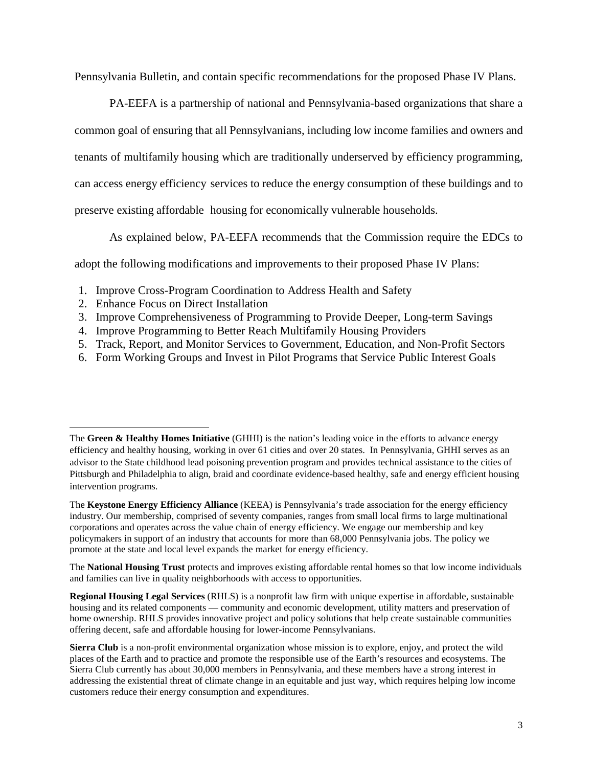Pennsylvania Bulletin, and contain specific recommendations for the proposed Phase IV Plans.

PA-EEFA is a partnership of national and Pennsylvania-based organizations that share a common goal of ensuring that all Pennsylvanians, including low income families and owners and tenants of multifamily housing which are traditionally underserved by efficiency programming, can access energy efficiency services to reduce the energy consumption of these buildings and to preserve existing affordable housing for economically vulnerable households.

As explained below, PA-EEFA recommends that the Commission require the EDCs to

adopt the following modifications and improvements to their proposed Phase IV Plans:

- 1. Improve Cross-Program Coordination to Address Health and Safety
- 2. Enhance Focus on Direct Installation

 $\overline{a}$ 

- 3. Improve Comprehensiveness of Programming to Provide Deeper, Long-term Savings
- 4. Improve Programming to Better Reach Multifamily Housing Providers
- 5. Track, Report, and Monitor Services to Government, Education, and Non-Profit Sectors
- 6. Form Working Groups and Invest in Pilot Programs that Service Public Interest Goals

The **National Housing Trust** protects and improves existing affordable rental homes so that low income individuals and families can live in quality neighborhoods with access to opportunities.

The **Green & Healthy Homes Initiative** (GHHI) is the nation's leading voice in the efforts to advance energy efficiency and healthy housing, working in over 61 cities and over 20 states. In Pennsylvania, GHHI serves as an advisor to the State childhood lead poisoning prevention program and provides technical assistance to the cities of Pittsburgh and Philadelphia to align, braid and coordinate evidence-based healthy, safe and energy efficient housing intervention programs.

The **Keystone Energy Efficiency Alliance** (KEEA) is Pennsylvania's trade association for the energy efficiency industry. Our membership, comprised of seventy companies, ranges from small local firms to large multinational corporations and operates across the value chain of energy efficiency. We engage our membership and key policymakers in support of an industry that accounts for more than 68,000 Pennsylvania jobs. The policy we promote at the state and local level expands the market for energy efficiency.

**Regional Housing Legal Services** (RHLS) is a nonprofit law firm with unique expertise in affordable, sustainable housing and its related components — community and economic development, utility matters and preservation of home ownership. RHLS provides innovative project and policy solutions that help create sustainable communities offering decent, safe and affordable housing for lower-income Pennsylvanians.

**Sierra Club** is a non-profit environmental organization whose mission is to explore, enjoy, and protect the wild places of the Earth and to practice and promote the responsible use of the Earth's resources and ecosystems. The Sierra Club currently has about 30,000 members in Pennsylvania, and these members have a strong interest in addressing the existential threat of climate change in an equitable and just way, which requires helping low income customers reduce their energy consumption and expenditures.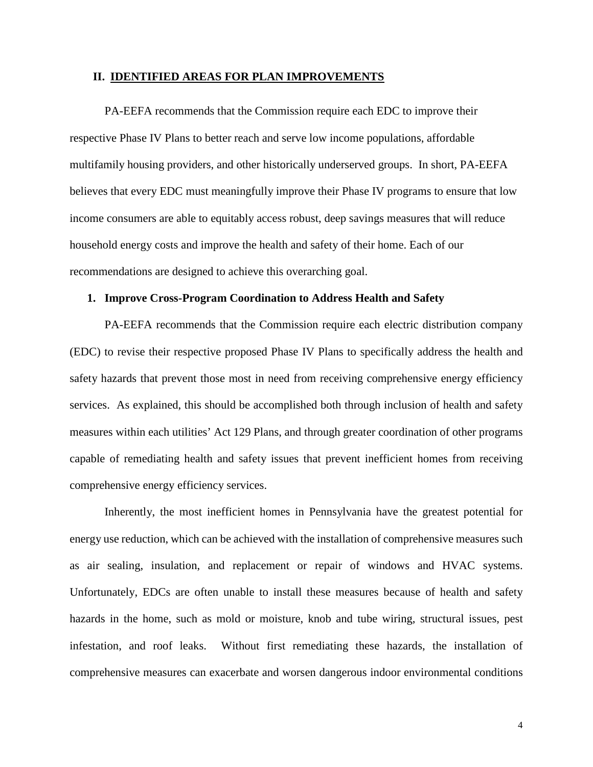#### **II. IDENTIFIED AREAS FOR PLAN IMPROVEMENTS**

PA-EEFA recommends that the Commission require each EDC to improve their respective Phase IV Plans to better reach and serve low income populations, affordable multifamily housing providers, and other historically underserved groups. In short, PA-EEFA believes that every EDC must meaningfully improve their Phase IV programs to ensure that low income consumers are able to equitably access robust, deep savings measures that will reduce household energy costs and improve the health and safety of their home. Each of our recommendations are designed to achieve this overarching goal.

#### **1. Improve Cross-Program Coordination to Address Health and Safety**

PA-EEFA recommends that the Commission require each electric distribution company (EDC) to revise their respective proposed Phase IV Plans to specifically address the health and safety hazards that prevent those most in need from receiving comprehensive energy efficiency services. As explained, this should be accomplished both through inclusion of health and safety measures within each utilities' Act 129 Plans, and through greater coordination of other programs capable of remediating health and safety issues that prevent inefficient homes from receiving comprehensive energy efficiency services.

Inherently, the most inefficient homes in Pennsylvania have the greatest potential for energy use reduction, which can be achieved with the installation of comprehensive measures such as air sealing, insulation, and replacement or repair of windows and HVAC systems. Unfortunately, EDCs are often unable to install these measures because of health and safety hazards in the home, such as mold or moisture, knob and tube wiring, structural issues, pest infestation, and roof leaks. Without first remediating these hazards, the installation of comprehensive measures can exacerbate and worsen dangerous indoor environmental conditions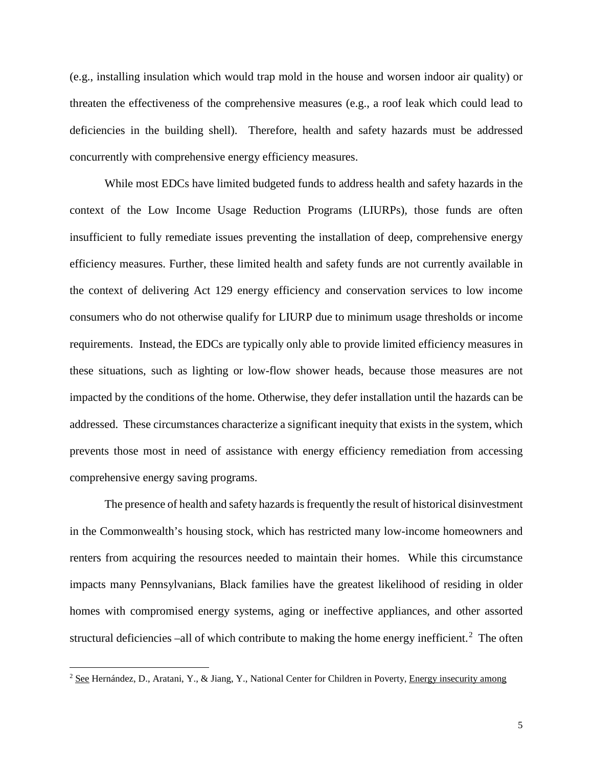(e.g., installing insulation which would trap mold in the house and worsen indoor air quality) or threaten the effectiveness of the comprehensive measures (e.g., a roof leak which could lead to deficiencies in the building shell). Therefore, health and safety hazards must be addressed concurrently with comprehensive energy efficiency measures.

While most EDCs have limited budgeted funds to address health and safety hazards in the context of the Low Income Usage Reduction Programs (LIURPs), those funds are often insufficient to fully remediate issues preventing the installation of deep, comprehensive energy efficiency measures. Further, these limited health and safety funds are not currently available in the context of delivering Act 129 energy efficiency and conservation services to low income consumers who do not otherwise qualify for LIURP due to minimum usage thresholds or income requirements. Instead, the EDCs are typically only able to provide limited efficiency measures in these situations, such as lighting or low-flow shower heads, because those measures are not impacted by the conditions of the home. Otherwise, they defer installation until the hazards can be addressed. These circumstances characterize a significant inequity that exists in the system, which prevents those most in need of assistance with energy efficiency remediation from accessing comprehensive energy saving programs.

The presence of health and safety hazards is frequently the result of historical disinvestment in the Commonwealth's housing stock, which has restricted many low-income homeowners and renters from acquiring the resources needed to maintain their homes. While this circumstance impacts many Pennsylvanians, Black families have the greatest likelihood of residing in older homes with compromised energy systems, aging or ineffective appliances, and other assorted structural deficiencies –all of which contribute to making the home energy inefficient.<sup>[2](#page-4-0)</sup> The often

<span id="page-4-0"></span><sup>&</sup>lt;sup>2</sup> See Hernández, D., Aratani, Y., & Jiang, Y., National Center for Children in Poverty, Energy insecurity among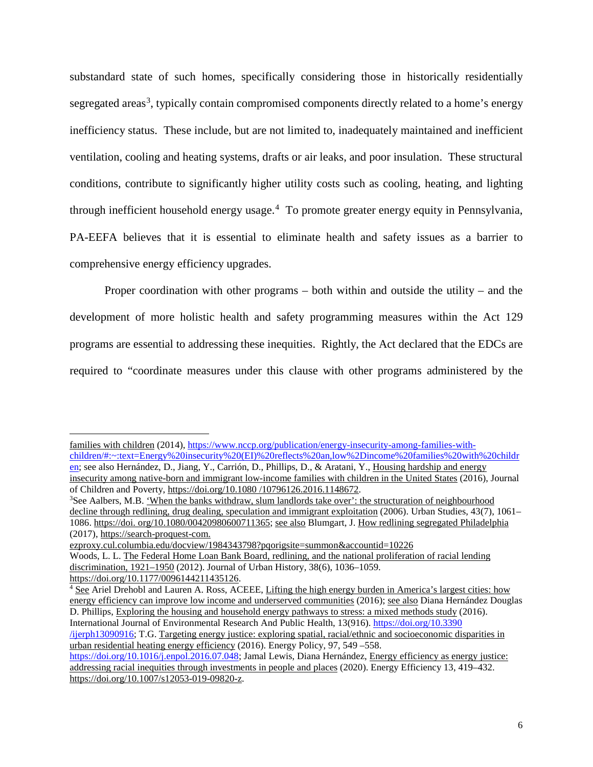substandard state of such homes, specifically considering those in historically residentially segregated areas<sup>[3](#page-5-0)</sup>, typically contain compromised components directly related to a home's energy inefficiency status. These include, but are not limited to, inadequately maintained and inefficient ventilation, cooling and heating systems, drafts or air leaks, and poor insulation. These structural conditions, contribute to significantly higher utility costs such as cooling, heating, and lighting through inefficient household energy usage.<sup>[4](#page-5-1)</sup> To promote greater energy equity in Pennsylvania, PA-EEFA believes that it is essential to eliminate health and safety issues as a barrier to comprehensive energy efficiency upgrades.

Proper coordination with other programs – both within and outside the utility – and the development of more holistic health and safety programming measures within the Act 129 programs are essential to addressing these inequities. Rightly, the Act declared that the EDCs are required to "coordinate measures under this clause with other programs administered by the

families with children (2014), [https://www.nccp.org/publication/energy-insecurity-among-families-with](https://www.nccp.org/publication/energy-insecurity-among-families-with-children/#:%7E:text=Energy%20insecurity%20(EI)%20reflects%20an,low%2Dincome%20families%20with%20children)[children/#:~:text=Energy%20insecurity%20\(EI\)%20reflects%20an,low%2Dincome%20families%20with%20childr](https://www.nccp.org/publication/energy-insecurity-among-families-with-children/#:%7E:text=Energy%20insecurity%20(EI)%20reflects%20an,low%2Dincome%20families%20with%20children) [en;](https://www.nccp.org/publication/energy-insecurity-among-families-with-children/#:%7E:text=Energy%20insecurity%20(EI)%20reflects%20an,low%2Dincome%20families%20with%20children) see also Hernández, D., Jiang, Y., Carrión, D., Phillips, D., & Aratani, Y., Housing hardship and energy insecurity among native-born and immigrant low-income families with children in the United States (2016), Journal of Children and Poverty, https://doi.org/10.1080 /10796126.2016.1148672. 3

<span id="page-5-0"></span><sup>&</sup>lt;sup>3</sup>See Aalbers, M.B. 'When the banks withdraw, slum landlords take over': the structuration of neighbourhood decline through redlining, drug dealing, speculation and immigrant exploitation (2006). Urban Studies, 43(7), 1061– 1086. https://doi. org/10.1080/00420980600711365; see also Blumgart, J. How redlining segregated Philadelphia (2017), https://search-proquest-com.

ezproxy.cul.columbia.edu/docview/1984343798?pqorigsite=summon&accountid=10226 Woods, L. L. The Federal Home Loan Bank Board, redlining, and the national proliferation of racial lending discrimination, 1921–1950 (2012). Journal of Urban History, 38(6), 1036–1059. https://doi.org/10.1177/0096144211435126.

<span id="page-5-1"></span><sup>4</sup> See Ariel Drehobl and Lauren A. Ross, ACEEE, Lifting the high energy burden in America's largest cities: how energy efficiency can improve low income and underserved communities (2016); see also Diana Hernández Douglas D. Phillips, Exploring the housing and household energy pathways to stress: a mixed methods study (2016). International Journal of Environmental Research And Public Health, 13(916)[. https://doi.org/10.3390](https://doi.org/10.3390%20/ijerph13090916)  [/ijerph13090916;](https://doi.org/10.3390%20/ijerph13090916) T.G. Targeting energy justice: exploring spatial, racial/ethnic and socioeconomic disparities in urban residential heating energy efficiency (2016). Energy Policy, 97, 549 –558. [https://doi.org/10.1016/j.enpol.2016.07.048;](https://doi.org/10.1016/j.enpol.2016.07.048) Jamal Lewis, Diana Hernández, Energy efficiency as energy justice: addressing racial inequities through investments in people and places (2020). Energy Efficiency 13, 419–432.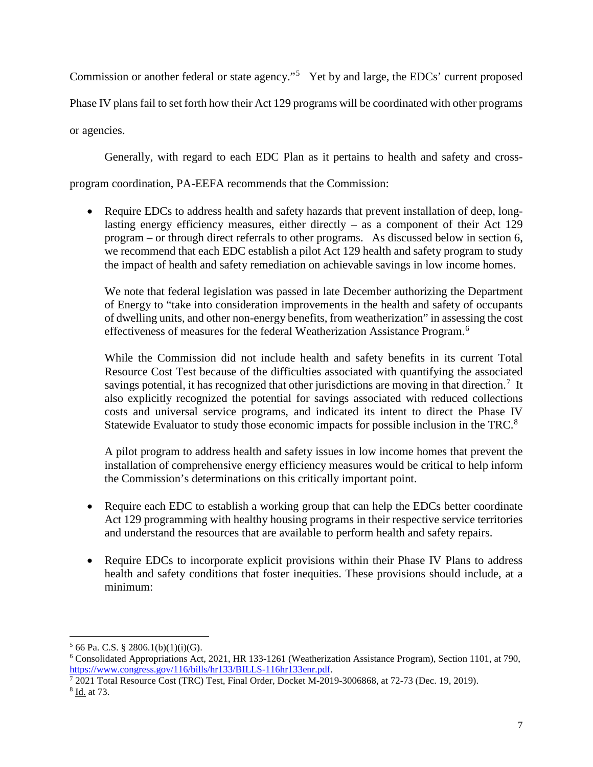Commission or another federal or state agency."<sup>[5](#page-6-0)</sup> Yet by and large, the EDCs' current proposed Phase IV plans fail to set forth how their Act 129 programs will be coordinated with other programs or agencies.

Generally, with regard to each EDC Plan as it pertains to health and safety and cross-

program coordination, PA-EEFA recommends that the Commission:

• Require EDCs to address health and safety hazards that prevent installation of deep, longlasting energy efficiency measures, either directly  $-$  as a component of their Act 129 program – or through direct referrals to other programs. As discussed below in section 6, we recommend that each EDC establish a pilot Act 129 health and safety program to study the impact of health and safety remediation on achievable savings in low income homes.

We note that federal legislation was passed in late December authorizing the Department of Energy to "take into consideration improvements in the health and safety of occupants of dwelling units, and other non-energy benefits, from weatherization" in assessing the cost effectiveness of measures for the federal Weatherization Assistance Program.<sup>[6](#page-6-1)</sup>

While the Commission did not include health and safety benefits in its current Total Resource Cost Test because of the difficulties associated with quantifying the associated savings potential, it has recognized that other jurisdictions are moving in that direction.<sup>[7](#page-6-2)</sup> It also explicitly recognized the potential for savings associated with reduced collections costs and universal service programs, and indicated its intent to direct the Phase IV Statewide Evaluator to study those economic impacts for possible inclusion in the TRC.<sup>[8](#page-6-3)</sup>

A pilot program to address health and safety issues in low income homes that prevent the installation of comprehensive energy efficiency measures would be critical to help inform the Commission's determinations on this critically important point.

- Require each EDC to establish a working group that can help the EDCs better coordinate Act 129 programming with healthy housing programs in their respective service territories and understand the resources that are available to perform health and safety repairs.
- Require EDCs to incorporate explicit provisions within their Phase IV Plans to address health and safety conditions that foster inequities. These provisions should include, at a minimum:

<span id="page-6-0"></span> $5$  66 Pa. C.S. § 2806.1(b)(1)(i)(G).

<span id="page-6-1"></span><sup>&</sup>lt;sup>6</sup> Consolidated Appropriations Act, 2021, HR 133-1261 (Weatherization Assistance Program), Section 1101, at 790, https://www.congress.gov/116/bills/hr133/BILLS-116hr133enr.pdf.

<span id="page-6-3"></span><span id="page-6-2"></span> $\frac{1}{12021}$  Total Resource Cost (TRC) Test, Final Order, Docket M-2019-3006868, at 72-73 (Dec. 19, 2019). 8 Id. at 73.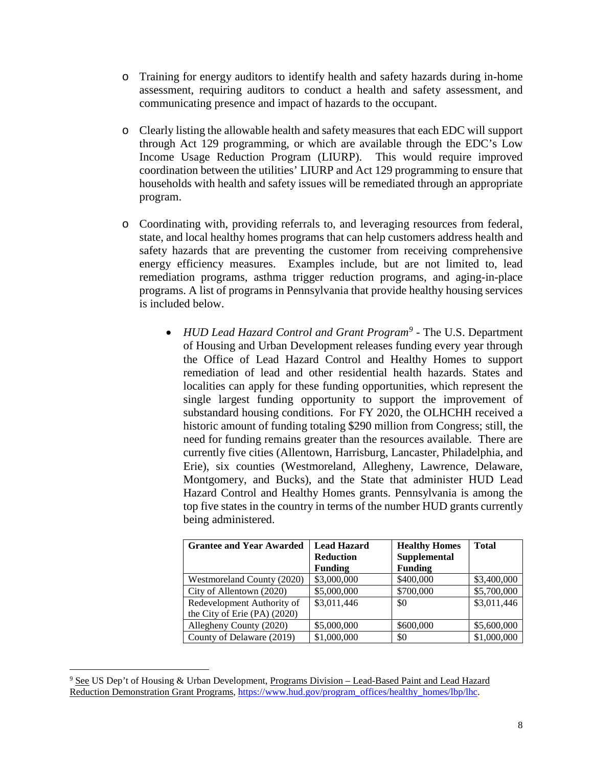- o Training for energy auditors to identify health and safety hazards during in-home assessment, requiring auditors to conduct a health and safety assessment, and communicating presence and impact of hazards to the occupant.
- o Clearly listing the allowable health and safety measures that each EDC will support through Act 129 programming, or which are available through the EDC's Low Income Usage Reduction Program (LIURP). This would require improved coordination between the utilities' LIURP and Act 129 programming to ensure that households with health and safety issues will be remediated through an appropriate program.
- o Coordinating with, providing referrals to, and leveraging resources from federal, state, and local healthy homes programs that can help customers address health and safety hazards that are preventing the customer from receiving comprehensive energy efficiency measures. Examples include, but are not limited to, lead remediation programs, asthma trigger reduction programs, and aging-in-place programs. A list of programs in Pennsylvania that provide healthy housing services is included below.
	- *HUD Lead Hazard Control and Grant Program[9](#page-7-0) -* The U.S. Department of Housing and Urban Development releases funding every year through the Office of Lead Hazard Control and Healthy Homes to support remediation of lead and other residential health hazards. States and localities can apply for these funding opportunities, which represent the single largest funding opportunity to support the improvement of substandard housing conditions. For FY 2020, the OLHCHH received a historic amount of funding totaling \$290 million from Congress; still, the need for funding remains greater than the resources available. There are currently five cities (Allentown, Harrisburg, Lancaster, Philadelphia, and Erie), six counties (Westmoreland, Allegheny, Lawrence, Delaware, Montgomery, and Bucks), and the State that administer HUD Lead Hazard Control and Healthy Homes grants. Pennsylvania is among the top five states in the country in terms of the number HUD grants currently being administered.

| <b>Grantee and Year Awarded</b> | <b>Lead Hazard</b> | <b>Healthy Homes</b> | <b>Total</b> |
|---------------------------------|--------------------|----------------------|--------------|
|                                 | <b>Reduction</b>   | Supplemental         |              |
|                                 | <b>Funding</b>     | <b>Funding</b>       |              |
| Westmoreland County (2020)      | \$3,000,000        | \$400,000            | \$3,400,000  |
| City of Allentown (2020)        | \$5,000,000        | \$700,000            | \$5,700,000  |
| Redevelopment Authority of      | \$3,011,446        | \$0                  | \$3,011,446  |
| the City of Erie (PA) (2020)    |                    |                      |              |
| Allegheny County (2020)         | \$5,000,000        | \$600,000            | \$5,600,000  |
| County of Delaware (2019)       | \$1,000,000        | \$0                  | \$1,000,000  |

<span id="page-7-0"></span><sup>&</sup>lt;sup>9</sup> See US Dep't of Housing & Urban Development, Programs Division - Lead-Based Paint and Lead Hazard Reduction Demonstration Grant Programs, https://www.hud.gov/program\_offices/healthy\_homes/lbp/lhc.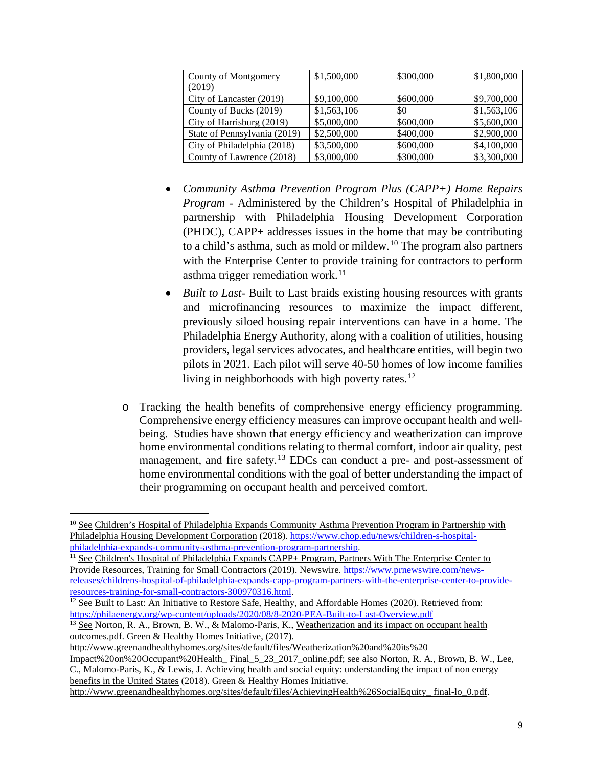| County of Montgomery<br>(2019) | \$1,500,000 | \$300,000 | \$1,800,000 |
|--------------------------------|-------------|-----------|-------------|
| City of Lancaster (2019)       | \$9,100,000 | \$600,000 | \$9,700,000 |
| County of Bucks (2019)         | \$1,563,106 | \$0       | \$1,563,106 |
| City of Harrisburg (2019)      | \$5,000,000 | \$600,000 | \$5,600,000 |
| State of Pennsylvania (2019)   | \$2,500,000 | \$400,000 | \$2,900,000 |
| City of Philadelphia (2018)    | \$3,500,000 | \$600,000 | \$4,100,000 |
| County of Lawrence (2018)      | \$3,000,000 | \$300,000 | \$3,300,000 |

- *Community Asthma Prevention Program Plus (CAPP+) Home Repairs Program -* Administered by the Children's Hospital of Philadelphia in partnership with Philadelphia Housing Development Corporation (PHDC), CAPP+ addresses issues in the home that may be contributing to a child's asthma, such as mold or mildew.[10](#page-8-0) The program also partners with the Enterprise Center to provide training for contractors to perform asthma trigger remediation work. $11$
- *Built to Last-* Built to Last braids existing housing resources with grants and microfinancing resources to maximize the impact different, previously siloed housing repair interventions can have in a home. The Philadelphia Energy Authority, along with a coalition of utilities, housing providers, legal services advocates, and healthcare entities, will begin two pilots in 2021. Each pilot will serve 40-50 homes of low income families living in neighborhoods with high poverty rates.<sup>[12](#page-8-2)</sup>
- o Tracking the health benefits of comprehensive energy efficiency programming. Comprehensive energy efficiency measures can improve occupant health and wellbeing. Studies have shown that energy efficiency and weatherization can improve home environmental conditions relating to thermal comfort, indoor air quality, pest management, and fire safety.<sup>[13](#page-8-3)</sup> EDCs can conduct a pre- and post-assessment of home environmental conditions with the goal of better understanding the impact of their programming on occupant health and perceived comfort.

http://www.greenandhealthyhomes.org/sites/default/files/Weatherization%20and%20its%20

<span id="page-8-0"></span><sup>&</sup>lt;sup>10</sup> See Children's Hospital of Philadelphia Expands Community Asthma Prevention Program in Partnership with Philadelphia Housing Development Corporation (2018)[. https://www.chop.edu/news/children-s-hospital](https://www.chop.edu/news/children-s-hospital-philadelphia-expands-community-asthma-prevention-program-partnership)[philadelphia-expands-community-asthma-prevention-program-partnership.](https://www.chop.edu/news/children-s-hospital-philadelphia-expands-community-asthma-prevention-program-partnership)<br><sup>11</sup> See Children's Hospital of Philadelphia Expands CAPP+ Program, Partners With The Enterprise Center to

<span id="page-8-1"></span>Provide Resources, Training for Small Contractors (2019). Newswire*.* [https://www.prnewswire.com/news](https://www.prnewswire.com/news-releases/childrens-hospital-of-philadelphia-expands-capp-program-partners-with-the-enterprise-center-to-provide-resources-training-for-small-contractors-300970316.html)[releases/childrens-hospital-of-philadelphia-expands-capp-program-partners-with-the-enterprise-center-to-provide-](https://www.prnewswire.com/news-releases/childrens-hospital-of-philadelphia-expands-capp-program-partners-with-the-enterprise-center-to-provide-resources-training-for-small-contractors-300970316.html)

<span id="page-8-2"></span> $\frac{12}{12}$  See Built to Last: An Initiative to Restore Safe, Healthy, and Affordable Homes (2020). Retrieved from: <https://philaenergy.org/wp-content/uploads/2020/08/8-2020-PEA-Built-to-Last-Overview.pdf>

<span id="page-8-3"></span><sup>&</sup>lt;sup>13</sup> See Norton, R. A., Brown, B. W., & Malomo-Paris, K., Weatherization and its impact on occupant health outcomes.pdf. Green & Healthy Homes Initiative, (2017).

Impact%20on%20Occupant%20Health\_ Final\_5\_23\_2017\_online.pdf; see also Norton, R. A., Brown, B. W., Lee, C., Malomo-Paris, K., & Lewis, J. Achieving health and social equity: understanding the impact of non energy benefits in the United States (2018). Green & Healthy Homes Initiative.

http://www.greenandhealthyhomes.org/sites/default/files/AchievingHealth%26SocialEquity\_ final-lo\_0.pdf.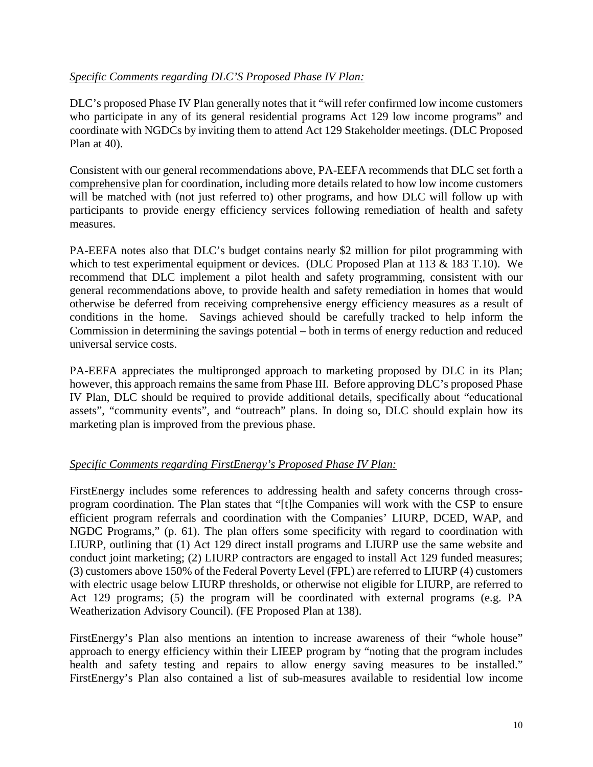# *Specific Comments regarding DLC'S Proposed Phase IV Plan:*

DLC's proposed Phase IV Plan generally notes that it "will refer confirmed low income customers who participate in any of its general residential programs Act 129 low income programs" and coordinate with NGDCs by inviting them to attend Act 129 Stakeholder meetings. (DLC Proposed Plan at 40).

Consistent with our general recommendations above, PA-EEFA recommends that DLC set forth a comprehensive plan for coordination, including more details related to how low income customers will be matched with (not just referred to) other programs, and how DLC will follow up with participants to provide energy efficiency services following remediation of health and safety measures.

PA-EEFA notes also that DLC's budget contains nearly \$2 million for pilot programming with which to test experimental equipment or devices. (DLC Proposed Plan at 113 & 183 T.10). We recommend that DLC implement a pilot health and safety programming, consistent with our general recommendations above, to provide health and safety remediation in homes that would otherwise be deferred from receiving comprehensive energy efficiency measures as a result of conditions in the home. Savings achieved should be carefully tracked to help inform the Commission in determining the savings potential – both in terms of energy reduction and reduced universal service costs.

PA-EEFA appreciates the multipronged approach to marketing proposed by DLC in its Plan; however, this approach remains the same from Phase III. Before approving DLC's proposed Phase IV Plan, DLC should be required to provide additional details, specifically about "educational assets", "community events", and "outreach" plans. In doing so, DLC should explain how its marketing plan is improved from the previous phase.

# *Specific Comments regarding FirstEnergy's Proposed Phase IV Plan:*

FirstEnergy includes some references to addressing health and safety concerns through crossprogram coordination. The Plan states that "[t]he Companies will work with the CSP to ensure efficient program referrals and coordination with the Companies' LIURP, DCED, WAP, and NGDC Programs," (p. 61). The plan offers some specificity with regard to coordination with LIURP, outlining that (1) Act 129 direct install programs and LIURP use the same website and conduct joint marketing; (2) LIURP contractors are engaged to install Act 129 funded measures; (3) customers above 150% of the Federal Poverty Level (FPL) are referred to LIURP (4) customers with electric usage below LIURP thresholds, or otherwise not eligible for LIURP, are referred to Act 129 programs; (5) the program will be coordinated with external programs (e.g. PA Weatherization Advisory Council). (FE Proposed Plan at 138).

FirstEnergy's Plan also mentions an intention to increase awareness of their "whole house" approach to energy efficiency within their LIEEP program by "noting that the program includes health and safety testing and repairs to allow energy saving measures to be installed." FirstEnergy's Plan also contained a list of sub-measures available to residential low income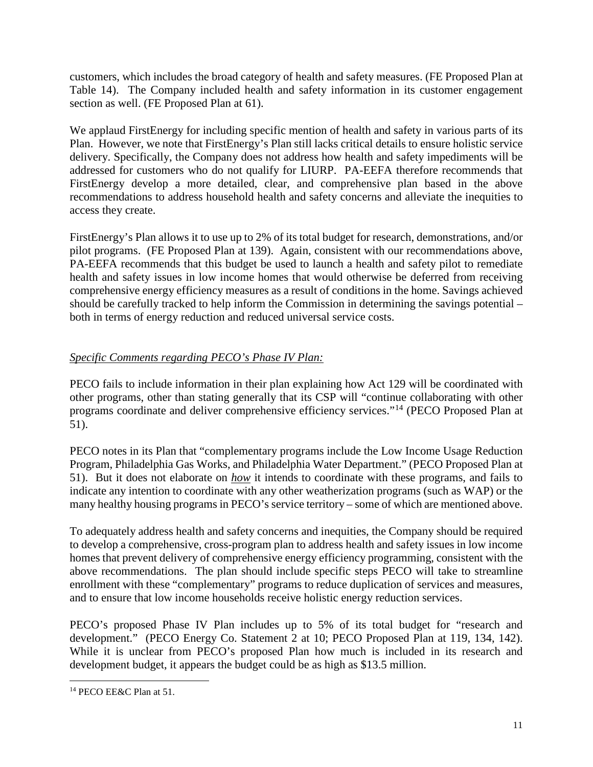customers, which includes the broad category of health and safety measures. (FE Proposed Plan at Table 14). The Company included health and safety information in its customer engagement section as well. (FE Proposed Plan at 61).

We applaud FirstEnergy for including specific mention of health and safety in various parts of its Plan. However, we note that FirstEnergy's Plan still lacks critical details to ensure holistic service delivery. Specifically, the Company does not address how health and safety impediments will be addressed for customers who do not qualify for LIURP. PA-EEFA therefore recommends that FirstEnergy develop a more detailed, clear, and comprehensive plan based in the above recommendations to address household health and safety concerns and alleviate the inequities to access they create.

FirstEnergy's Plan allows it to use up to 2% of its total budget for research, demonstrations, and/or pilot programs. (FE Proposed Plan at 139). Again, consistent with our recommendations above, PA-EEFA recommends that this budget be used to launch a health and safety pilot to remediate health and safety issues in low income homes that would otherwise be deferred from receiving comprehensive energy efficiency measures as a result of conditions in the home. Savings achieved should be carefully tracked to help inform the Commission in determining the savings potential – both in terms of energy reduction and reduced universal service costs.

# *Specific Comments regarding PECO's Phase IV Plan:*

PECO fails to include information in their plan explaining how Act 129 will be coordinated with other programs, other than stating generally that its CSP will "continue collaborating with other programs coordinate and deliver comprehensive efficiency services."[14](#page-10-0) (PECO Proposed Plan at 51).

PECO notes in its Plan that "complementary programs include the Low Income Usage Reduction Program, Philadelphia Gas Works, and Philadelphia Water Department." (PECO Proposed Plan at 51). But it does not elaborate on *how* it intends to coordinate with these programs, and fails to indicate any intention to coordinate with any other weatherization programs (such as WAP) or the many healthy housing programs in PECO's service territory – some of which are mentioned above.

To adequately address health and safety concerns and inequities, the Company should be required to develop a comprehensive, cross-program plan to address health and safety issues in low income homes that prevent delivery of comprehensive energy efficiency programming, consistent with the above recommendations. The plan should include specific steps PECO will take to streamline enrollment with these "complementary" programs to reduce duplication of services and measures, and to ensure that low income households receive holistic energy reduction services.

PECO's proposed Phase IV Plan includes up to 5% of its total budget for "research and development." (PECO Energy Co. Statement 2 at 10; PECO Proposed Plan at 119, 134, 142). While it is unclear from PECO's proposed Plan how much is included in its research and development budget, it appears the budget could be as high as \$13.5 million.

<span id="page-10-0"></span> <sup>14</sup> PECO EE&C Plan at 51.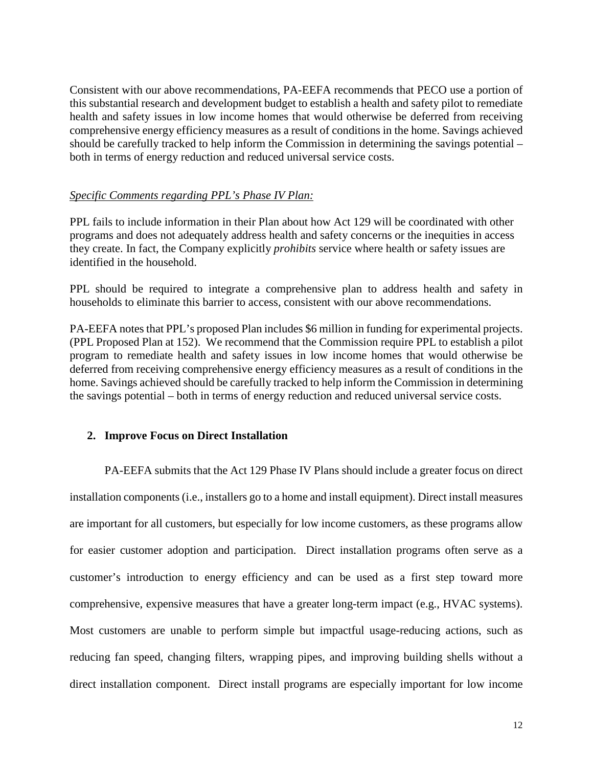Consistent with our above recommendations, PA-EEFA recommends that PECO use a portion of this substantial research and development budget to establish a health and safety pilot to remediate health and safety issues in low income homes that would otherwise be deferred from receiving comprehensive energy efficiency measures as a result of conditions in the home. Savings achieved should be carefully tracked to help inform the Commission in determining the savings potential – both in terms of energy reduction and reduced universal service costs.

#### *Specific Comments regarding PPL's Phase IV Plan:*

PPL fails to include information in their Plan about how Act 129 will be coordinated with other programs and does not adequately address health and safety concerns or the inequities in access they create. In fact, the Company explicitly *prohibits* service where health or safety issues are identified in the household.

PPL should be required to integrate a comprehensive plan to address health and safety in households to eliminate this barrier to access, consistent with our above recommendations.

PA-EEFA notes that PPL's proposed Plan includes \$6 million in funding for experimental projects. (PPL Proposed Plan at 152). We recommend that the Commission require PPL to establish a pilot program to remediate health and safety issues in low income homes that would otherwise be deferred from receiving comprehensive energy efficiency measures as a result of conditions in the home. Savings achieved should be carefully tracked to help inform the Commission in determining the savings potential – both in terms of energy reduction and reduced universal service costs.

#### **2. Improve Focus on Direct Installation**

PA-EEFA submits that the Act 129 Phase IV Plans should include a greater focus on direct installation components (i.e., installers go to a home and install equipment). Direct install measures are important for all customers, but especially for low income customers, as these programs allow for easier customer adoption and participation. Direct installation programs often serve as a customer's introduction to energy efficiency and can be used as a first step toward more comprehensive, expensive measures that have a greater long-term impact (e.g., HVAC systems). Most customers are unable to perform simple but impactful usage-reducing actions, such as reducing fan speed, changing filters, wrapping pipes, and improving building shells without a direct installation component. Direct install programs are especially important for low income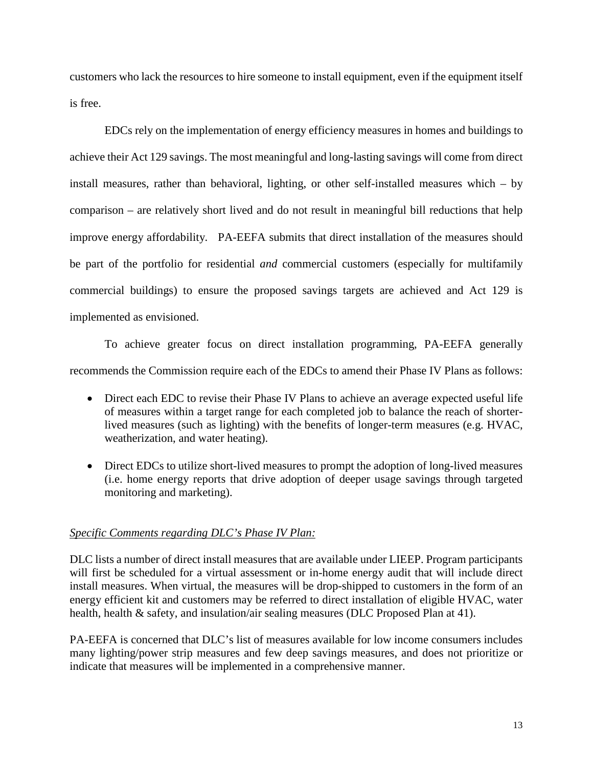customers who lack the resources to hire someone to install equipment, even if the equipment itself is free.

EDCs rely on the implementation of energy efficiency measures in homes and buildings to achieve their Act 129 savings. The most meaningful and long-lasting savings will come from direct install measures, rather than behavioral, lighting, or other self-installed measures which – by comparison – are relatively short lived and do not result in meaningful bill reductions that help improve energy affordability. PA-EEFA submits that direct installation of the measures should be part of the portfolio for residential *and* commercial customers (especially for multifamily commercial buildings) to ensure the proposed savings targets are achieved and Act 129 is implemented as envisioned.

To achieve greater focus on direct installation programming, PA-EEFA generally recommends the Commission require each of the EDCs to amend their Phase IV Plans as follows:

- Direct each EDC to revise their Phase IV Plans to achieve an average expected useful life of measures within a target range for each completed job to balance the reach of shorterlived measures (such as lighting) with the benefits of longer-term measures (e.g. HVAC, weatherization, and water heating).
- Direct EDCs to utilize short-lived measures to prompt the adoption of long-lived measures (i.e. home energy reports that drive adoption of deeper usage savings through targeted monitoring and marketing).

# *Specific Comments regarding DLC's Phase IV Plan:*

DLC lists a number of direct install measures that are available under LIEEP. Program participants will first be scheduled for a virtual assessment or in-home energy audit that will include direct install measures. When virtual, the measures will be drop-shipped to customers in the form of an energy efficient kit and customers may be referred to direct installation of eligible HVAC, water health, health & safety, and insulation/air sealing measures (DLC Proposed Plan at 41).

PA-EEFA is concerned that DLC's list of measures available for low income consumers includes many lighting/power strip measures and few deep savings measures, and does not prioritize or indicate that measures will be implemented in a comprehensive manner.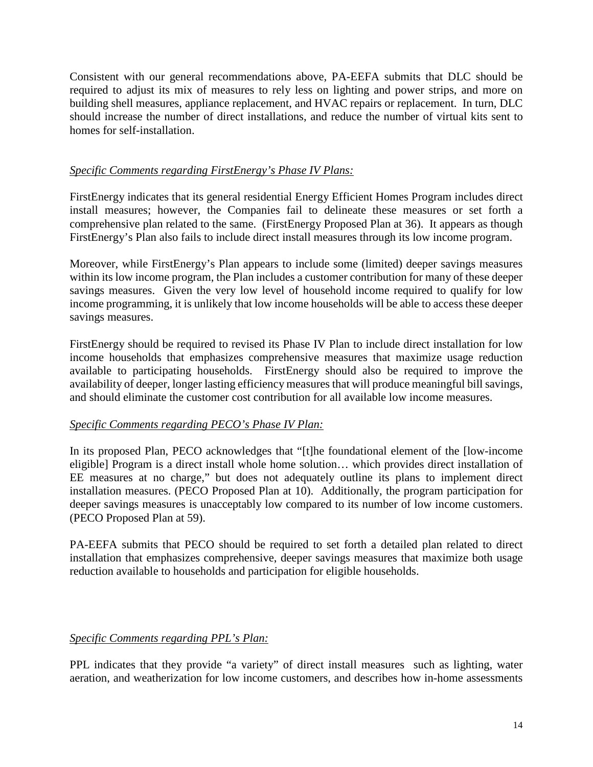Consistent with our general recommendations above, PA-EEFA submits that DLC should be required to adjust its mix of measures to rely less on lighting and power strips, and more on building shell measures, appliance replacement, and HVAC repairs or replacement. In turn, DLC should increase the number of direct installations, and reduce the number of virtual kits sent to homes for self-installation.

## *Specific Comments regarding FirstEnergy's Phase IV Plans:*

FirstEnergy indicates that its general residential Energy Efficient Homes Program includes direct install measures; however, the Companies fail to delineate these measures or set forth a comprehensive plan related to the same. (FirstEnergy Proposed Plan at 36). It appears as though FirstEnergy's Plan also fails to include direct install measures through its low income program.

Moreover, while FirstEnergy's Plan appears to include some (limited) deeper savings measures within its low income program, the Plan includes a customer contribution for many of these deeper savings measures. Given the very low level of household income required to qualify for low income programming, it is unlikely that low income households will be able to access these deeper savings measures.

FirstEnergy should be required to revised its Phase IV Plan to include direct installation for low income households that emphasizes comprehensive measures that maximize usage reduction available to participating households. FirstEnergy should also be required to improve the availability of deeper, longer lasting efficiency measures that will produce meaningful bill savings, and should eliminate the customer cost contribution for all available low income measures.

# *Specific Comments regarding PECO's Phase IV Plan:*

In its proposed Plan, PECO acknowledges that "[t]he foundational element of the [low-income eligible] Program is a direct install whole home solution… which provides direct installation of EE measures at no charge," but does not adequately outline its plans to implement direct installation measures. (PECO Proposed Plan at 10). Additionally, the program participation for deeper savings measures is unacceptably low compared to its number of low income customers. (PECO Proposed Plan at 59).

PA-EEFA submits that PECO should be required to set forth a detailed plan related to direct installation that emphasizes comprehensive, deeper savings measures that maximize both usage reduction available to households and participation for eligible households.

# *Specific Comments regarding PPL's Plan:*

PPL indicates that they provide "a variety" of direct install measures such as lighting, water aeration, and weatherization for low income customers, and describes how in-home assessments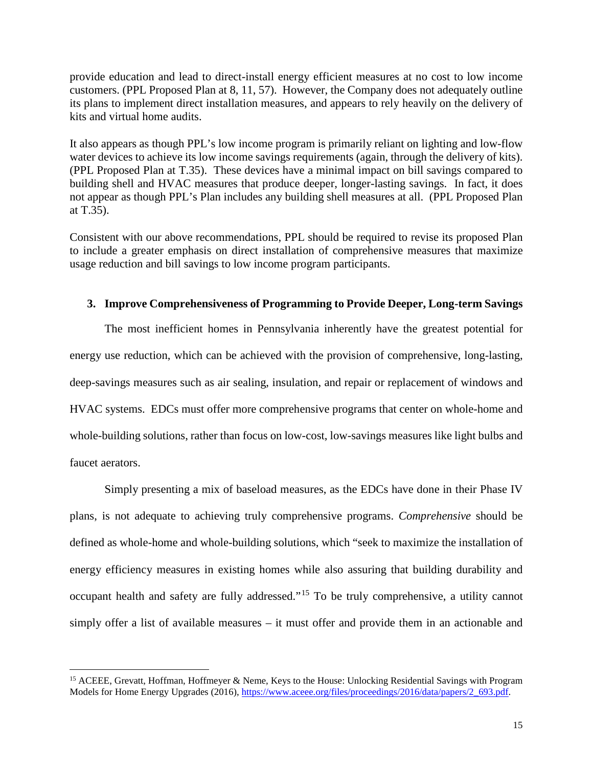provide education and lead to direct-install energy efficient measures at no cost to low income customers. (PPL Proposed Plan at 8, 11, 57). However, the Company does not adequately outline its plans to implement direct installation measures, and appears to rely heavily on the delivery of kits and virtual home audits.

It also appears as though PPL's low income program is primarily reliant on lighting and low-flow water devices to achieve its low income savings requirements (again, through the delivery of kits). (PPL Proposed Plan at T.35). These devices have a minimal impact on bill savings compared to building shell and HVAC measures that produce deeper, longer-lasting savings. In fact, it does not appear as though PPL's Plan includes any building shell measures at all. (PPL Proposed Plan at T.35).

Consistent with our above recommendations, PPL should be required to revise its proposed Plan to include a greater emphasis on direct installation of comprehensive measures that maximize usage reduction and bill savings to low income program participants.

#### **3. Improve Comprehensiveness of Programming to Provide Deeper, Long-term Savings**

The most inefficient homes in Pennsylvania inherently have the greatest potential for energy use reduction, which can be achieved with the provision of comprehensive, long-lasting, deep-savings measures such as air sealing, insulation, and repair or replacement of windows and HVAC systems. EDCs must offer more comprehensive programs that center on whole-home and whole-building solutions, rather than focus on low-cost, low-savings measures like light bulbs and faucet aerators.

Simply presenting a mix of baseload measures, as the EDCs have done in their Phase IV plans, is not adequate to achieving truly comprehensive programs. *Comprehensive* should be defined as whole-home and whole-building solutions, which "seek to maximize the installation of energy efficiency measures in existing homes while also assuring that building durability and occupant health and safety are fully addressed."[15](#page-14-0) To be truly comprehensive, a utility cannot simply offer a list of available measures – it must offer and provide them in an actionable and

<span id="page-14-0"></span><sup>&</sup>lt;sup>15</sup> ACEEE, Grevatt, Hoffman, Hoffmeyer & Neme, Keys to the House: Unlocking Residential Savings with Program Models for Home Energy Upgrades (2016)[, https://www.aceee.org/files/proceedings/2016/data/papers/2\\_693.pdf.](https://www.aceee.org/files/proceedings/2016/data/papers/2_693.pdf)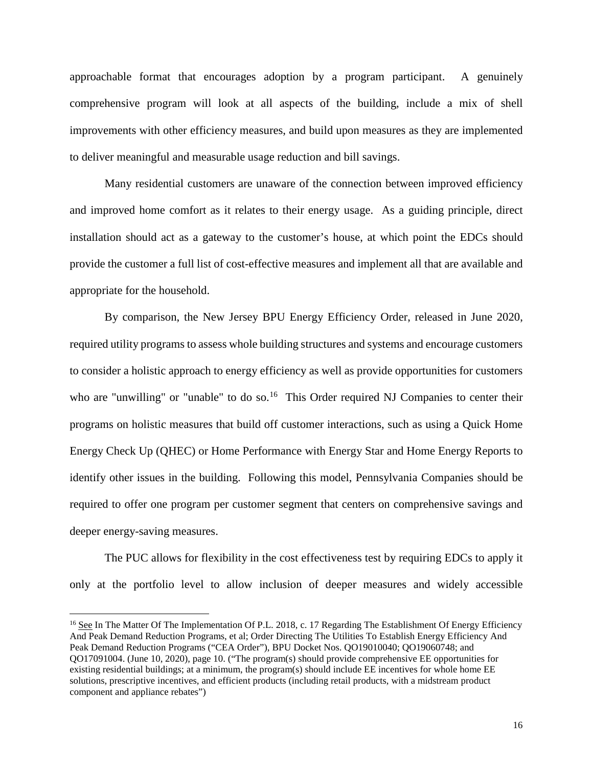approachable format that encourages adoption by a program participant. A genuinely comprehensive program will look at all aspects of the building, include a mix of shell improvements with other efficiency measures, and build upon measures as they are implemented to deliver meaningful and measurable usage reduction and bill savings.

Many residential customers are unaware of the connection between improved efficiency and improved home comfort as it relates to their energy usage. As a guiding principle, direct installation should act as a gateway to the customer's house, at which point the EDCs should provide the customer a full list of cost-effective measures and implement all that are available and appropriate for the household.

By comparison, the New Jersey BPU Energy Efficiency Order, released in June 2020, required utility programs to assess whole building structures and systems and encourage customers to consider a holistic approach to energy efficiency as well as provide opportunities for customers who are "unwilling" or "unable" to do so.<sup>16</sup> This Order required NJ Companies to center their programs on holistic measures that build off customer interactions, such as using a Quick Home Energy Check Up (QHEC) or Home Performance with Energy Star and Home Energy Reports to identify other issues in the building. Following this model, Pennsylvania Companies should be required to offer one program per customer segment that centers on comprehensive savings and deeper energy-saving measures.

The PUC allows for flexibility in the cost effectiveness test by requiring EDCs to apply it only at the portfolio level to allow inclusion of deeper measures and widely accessible

<span id="page-15-0"></span><sup>&</sup>lt;sup>16</sup> See In The Matter Of The Implementation Of P.L. 2018, c. 17 Regarding The Establishment Of Energy Efficiency And Peak Demand Reduction Programs, et al; Order Directing The Utilities To Establish Energy Efficiency And Peak Demand Reduction Programs ("CEA Order"), BPU Docket Nos. QO19010040; QO19060748; and QO17091004. (June 10, 2020), page 10. ("The program(s) should provide comprehensive EE opportunities for existing residential buildings; at a minimum, the program(s) should include EE incentives for whole home EE solutions, prescriptive incentives, and efficient products (including retail products, with a midstream product component and appliance rebates")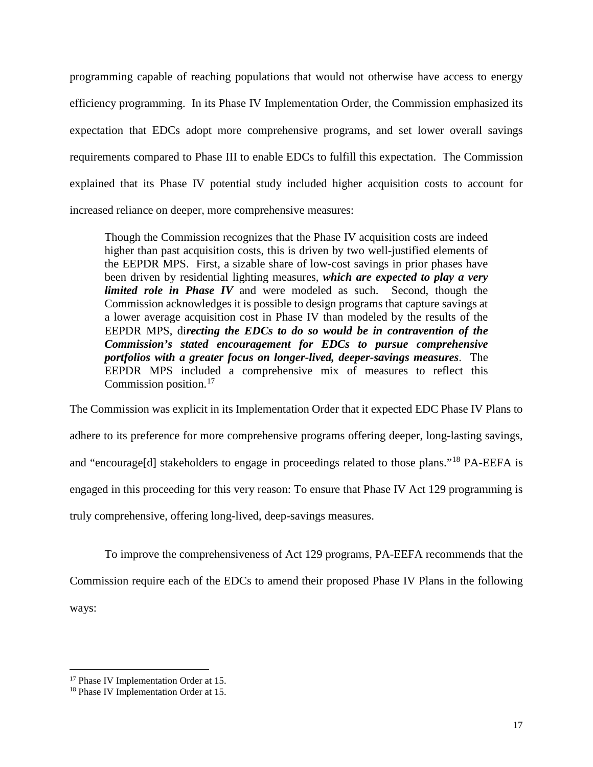programming capable of reaching populations that would not otherwise have access to energy efficiency programming. In its Phase IV Implementation Order, the Commission emphasized its expectation that EDCs adopt more comprehensive programs, and set lower overall savings requirements compared to Phase III to enable EDCs to fulfill this expectation. The Commission explained that its Phase IV potential study included higher acquisition costs to account for increased reliance on deeper, more comprehensive measures:

Though the Commission recognizes that the Phase IV acquisition costs are indeed higher than past acquisition costs, this is driven by two well-justified elements of the EEPDR MPS. First, a sizable share of low-cost savings in prior phases have been driven by residential lighting measures, *which are expected to play a very limited role in Phase IV* and were modeled as such. Second, though the Commission acknowledges it is possible to design programs that capture savings at a lower average acquisition cost in Phase IV than modeled by the results of the EEPDR MPS, di*recting the EDCs to do so would be in contravention of the Commission's stated encouragement for EDCs to pursue comprehensive portfolios with a greater focus on longer-lived, deeper-savings measures*. The EEPDR MPS included a comprehensive mix of measures to reflect this Commission position.[17](#page-16-0)

The Commission was explicit in its Implementation Order that it expected EDC Phase IV Plans to adhere to its preference for more comprehensive programs offering deeper, long-lasting savings, and "encourage<sup>[d]</sup> stakeholders to engage in proceedings related to those plans."<sup>[18](#page-16-1)</sup> PA-EEFA is engaged in this proceeding for this very reason: To ensure that Phase IV Act 129 programming is truly comprehensive, offering long-lived, deep-savings measures.

To improve the comprehensiveness of Act 129 programs, PA-EEFA recommends that the Commission require each of the EDCs to amend their proposed Phase IV Plans in the following ways:

<span id="page-16-0"></span><sup>&</sup>lt;sup>17</sup> Phase IV Implementation Order at 15.

<span id="page-16-1"></span><sup>18</sup> Phase IV Implementation Order at 15.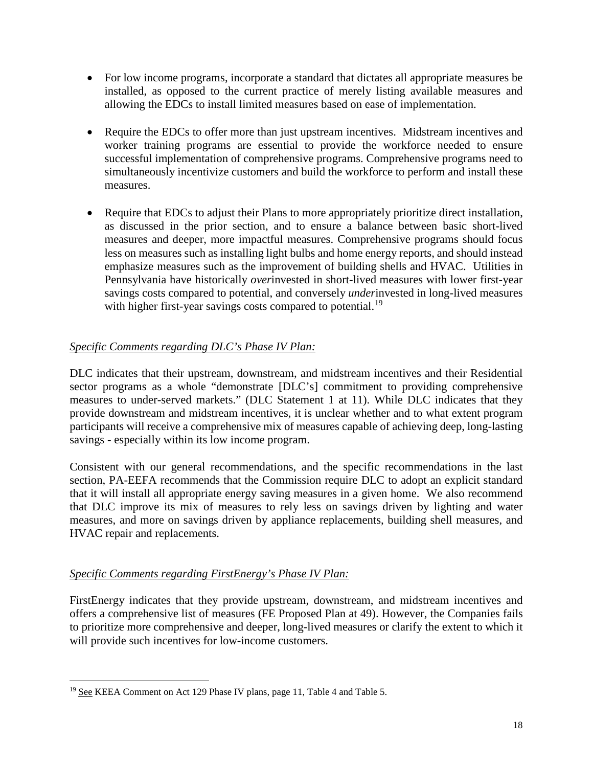- For low income programs, incorporate a standard that dictates all appropriate measures be installed, as opposed to the current practice of merely listing available measures and allowing the EDCs to install limited measures based on ease of implementation.
- Require the EDCs to offer more than just upstream incentives. Midstream incentives and worker training programs are essential to provide the workforce needed to ensure successful implementation of comprehensive programs. Comprehensive programs need to simultaneously incentivize customers and build the workforce to perform and install these measures.
- Require that EDCs to adjust their Plans to more appropriately prioritize direct installation, as discussed in the prior section, and to ensure a balance between basic short-lived measures and deeper, more impactful measures. Comprehensive programs should focus less on measures such as installing light bulbs and home energy reports, and should instead emphasize measures such as the improvement of building shells and HVAC. Utilities in Pennsylvania have historically *over*invested in short-lived measures with lower first-year savings costs compared to potential, and conversely *under*invested in long-lived measures with higher first-year savings costs compared to potential.<sup>[19](#page-17-0)</sup>

# *Specific Comments regarding DLC's Phase IV Plan:*

DLC indicates that their upstream, downstream, and midstream incentives and their Residential sector programs as a whole "demonstrate [DLC's] commitment to providing comprehensive measures to under-served markets." (DLC Statement 1 at 11). While DLC indicates that they provide downstream and midstream incentives, it is unclear whether and to what extent program participants will receive a comprehensive mix of measures capable of achieving deep, long-lasting savings - especially within its low income program.

Consistent with our general recommendations, and the specific recommendations in the last section, PA-EEFA recommends that the Commission require DLC to adopt an explicit standard that it will install all appropriate energy saving measures in a given home. We also recommend that DLC improve its mix of measures to rely less on savings driven by lighting and water measures, and more on savings driven by appliance replacements, building shell measures, and HVAC repair and replacements.

#### *Specific Comments regarding FirstEnergy's Phase IV Plan:*

FirstEnergy indicates that they provide upstream, downstream, and midstream incentives and offers a comprehensive list of measures (FE Proposed Plan at 49). However, the Companies fails to prioritize more comprehensive and deeper, long-lived measures or clarify the extent to which it will provide such incentives for low-income customers.

<span id="page-17-0"></span><sup>&</sup>lt;sup>19</sup> See KEEA Comment on Act 129 Phase IV plans, page 11, Table 4 and Table 5.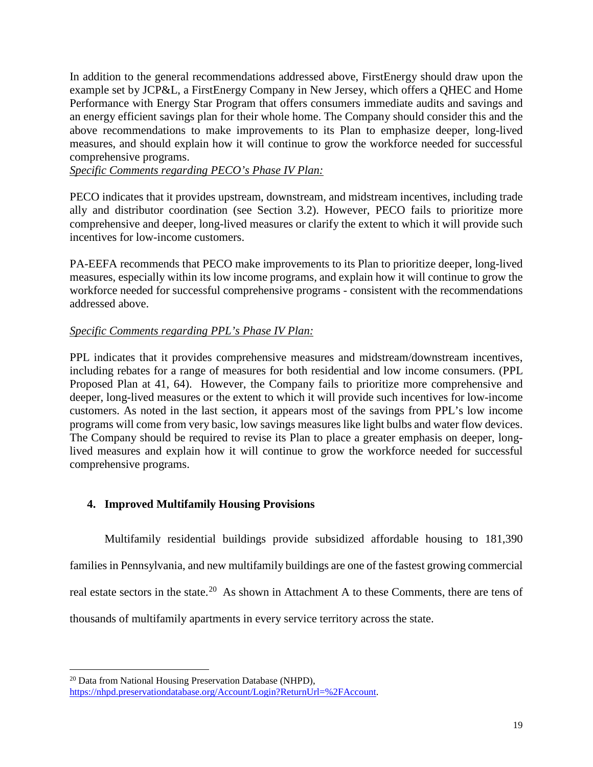In addition to the general recommendations addressed above, FirstEnergy should draw upon the example set by JCP&L, a FirstEnergy Company in New Jersey, which offers a QHEC and Home Performance with Energy Star Program that offers consumers immediate audits and savings and an energy efficient savings plan for their whole home. The Company should consider this and the above recommendations to make improvements to its Plan to emphasize deeper, long-lived measures, and should explain how it will continue to grow the workforce needed for successful comprehensive programs.

*Specific Comments regarding PECO's Phase IV Plan:*

PECO indicates that it provides upstream, downstream, and midstream incentives, including trade ally and distributor coordination (see Section 3.2). However, PECO fails to prioritize more comprehensive and deeper, long-lived measures or clarify the extent to which it will provide such incentives for low-income customers.

PA-EEFA recommends that PECO make improvements to its Plan to prioritize deeper, long-lived measures, especially within its low income programs, and explain how it will continue to grow the workforce needed for successful comprehensive programs - consistent with the recommendations addressed above.

## *Specific Comments regarding PPL's Phase IV Plan:*

PPL indicates that it provides comprehensive measures and midstream/downstream incentives, including rebates for a range of measures for both residential and low income consumers. (PPL Proposed Plan at 41, 64). However, the Company fails to prioritize more comprehensive and deeper, long-lived measures or the extent to which it will provide such incentives for low-income customers. As noted in the last section, it appears most of the savings from PPL's low income programs will come from very basic, low savings measures like light bulbs and water flow devices. The Company should be required to revise its Plan to place a greater emphasis on deeper, longlived measures and explain how it will continue to grow the workforce needed for successful comprehensive programs.

# **4. Improved Multifamily Housing Provisions**

Multifamily residential buildings provide subsidized affordable housing to 181,390 families in Pennsylvania, and new multifamily buildings are one of the fastest growing commercial real estate sectors in the state.<sup>20</sup> As shown in Attachment A to these Comments, there are tens of thousands of multifamily apartments in every service territory across the state.

<span id="page-18-0"></span><sup>&</sup>lt;sup>20</sup> Data from National Housing Preservation Database (NHPD), [https://nhpd.preservationdatabase.org/Account/Login?ReturnUrl=%2FAccount.](https://nhpd.preservationdatabase.org/Account/Login?ReturnUrl=%2FAccount)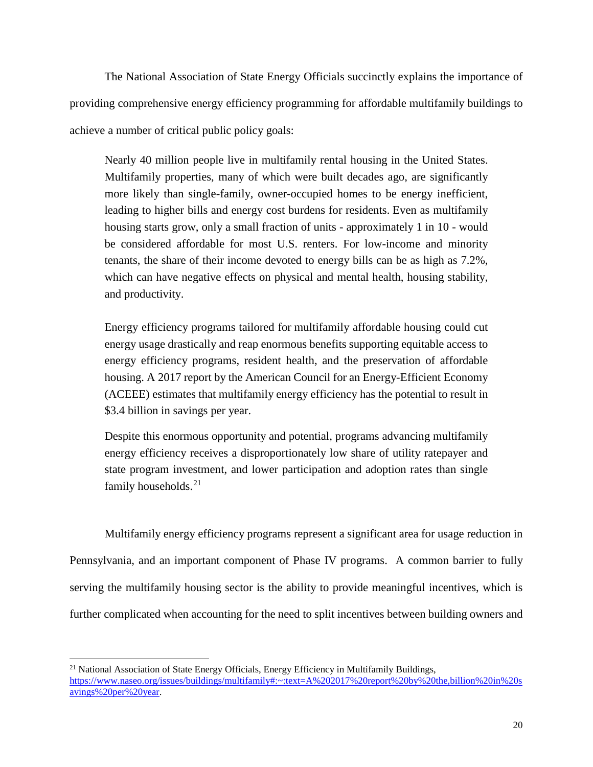The National Association of State Energy Officials succinctly explains the importance of providing comprehensive energy efficiency programming for affordable multifamily buildings to achieve a number of critical public policy goals:

Nearly 40 million people live in multifamily rental housing in the United States. Multifamily properties, many of which were built decades ago, are significantly more likely than single-family, owner-occupied homes to be energy inefficient, leading to higher bills and energy cost burdens for residents. Even as multifamily housing starts grow, only a small fraction of units - approximately 1 in 10 - would be considered affordable for most U.S. renters. For low-income and minority tenants, the share of their income devoted to energy bills can be as high as 7.2%, which can have negative effects on physical and mental health, housing stability, and productivity.

Energy efficiency programs tailored for multifamily affordable housing could cut energy usage drastically and reap enormous benefits supporting equitable access to energy efficiency programs, resident health, and the preservation of affordable housing. A 2017 report by the American Council for an Energy-Efficient Economy (ACEEE) estimates that multifamily energy efficiency has the potential to result in \$3.4 billion in savings per year.

Despite this enormous opportunity and potential, programs advancing multifamily energy efficiency receives a disproportionately low share of utility ratepayer and state program investment, and lower participation and adoption rates than single family households.<sup>[21](#page-19-0)</sup>

Multifamily energy efficiency programs represent a significant area for usage reduction in Pennsylvania, and an important component of Phase IV programs. A common barrier to fully serving the multifamily housing sector is the ability to provide meaningful incentives, which is further complicated when accounting for the need to split incentives between building owners and

<span id="page-19-0"></span> $21$  National Association of State Energy Officials, Energy Efficiency in Multifamily Buildings, [https://www.naseo.org/issues/buildings/multifamily#:~:text=A%202017%20report%20by%20the,billion%20in%20s](https://www.naseo.org/issues/buildings/multifamily#:%7E:text=A%202017%20report%20by%20the,billion%20in%20savings%20per%20year) [avings%20per%20year.](https://www.naseo.org/issues/buildings/multifamily#:%7E:text=A%202017%20report%20by%20the,billion%20in%20savings%20per%20year)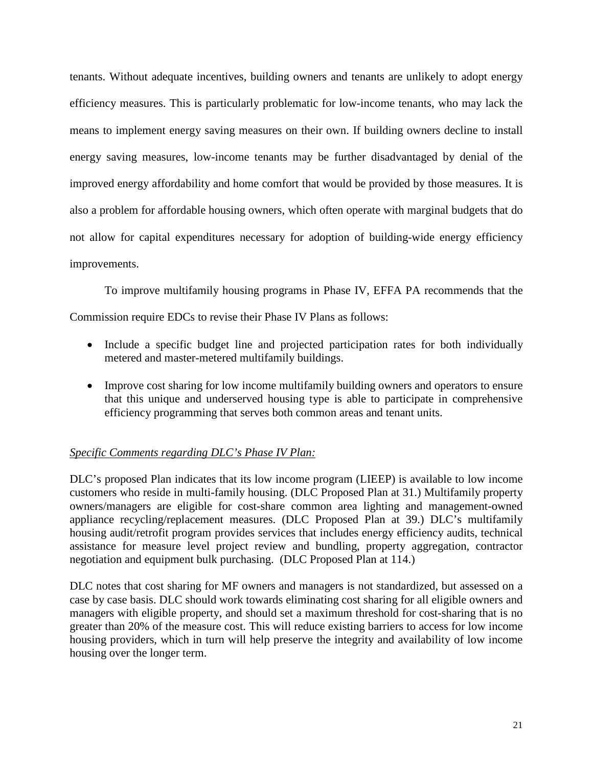tenants. Without adequate incentives, building owners and tenants are unlikely to adopt energy efficiency measures. This is particularly problematic for low-income tenants, who may lack the means to implement energy saving measures on their own. If building owners decline to install energy saving measures, low-income tenants may be further disadvantaged by denial of the improved energy affordability and home comfort that would be provided by those measures. It is also a problem for affordable housing owners, which often operate with marginal budgets that do not allow for capital expenditures necessary for adoption of building-wide energy efficiency improvements.

To improve multifamily housing programs in Phase IV, EFFA PA recommends that the Commission require EDCs to revise their Phase IV Plans as follows:

- Include a specific budget line and projected participation rates for both individually metered and master-metered multifamily buildings.
- Improve cost sharing for low income multifamily building owners and operators to ensure that this unique and underserved housing type is able to participate in comprehensive efficiency programming that serves both common areas and tenant units.

# *Specific Comments regarding DLC's Phase IV Plan:*

DLC's proposed Plan indicates that its low income program (LIEEP) is available to low income customers who reside in multi-family housing. (DLC Proposed Plan at 31.) Multifamily property owners/managers are eligible for cost-share common area lighting and management-owned appliance recycling/replacement measures. (DLC Proposed Plan at 39.) DLC's multifamily housing audit/retrofit program provides services that includes energy efficiency audits, technical assistance for measure level project review and bundling, property aggregation, contractor negotiation and equipment bulk purchasing. (DLC Proposed Plan at 114.)

DLC notes that cost sharing for MF owners and managers is not standardized, but assessed on a case by case basis. DLC should work towards eliminating cost sharing for all eligible owners and managers with eligible property, and should set a maximum threshold for cost-sharing that is no greater than 20% of the measure cost. This will reduce existing barriers to access for low income housing providers, which in turn will help preserve the integrity and availability of low income housing over the longer term.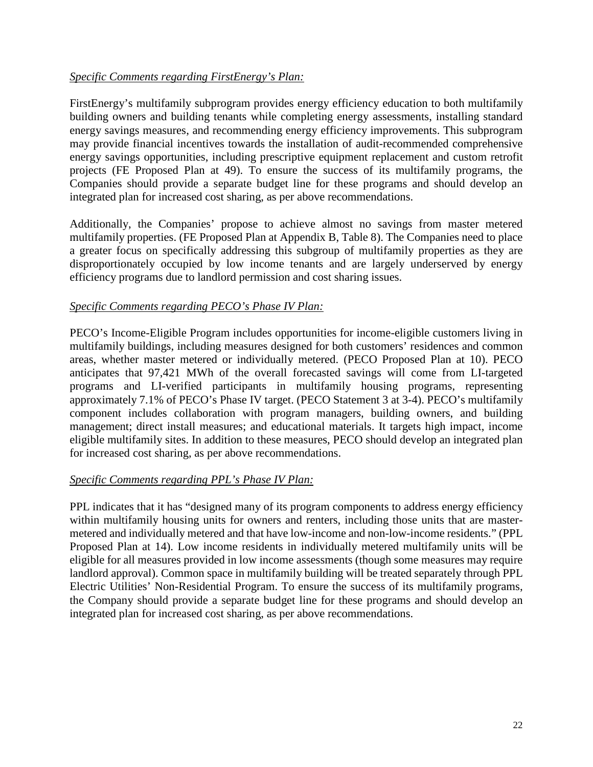# *Specific Comments regarding FirstEnergy's Plan:*

FirstEnergy's multifamily subprogram provides energy efficiency education to both multifamily building owners and building tenants while completing energy assessments, installing standard energy savings measures, and recommending energy efficiency improvements. This subprogram may provide financial incentives towards the installation of audit-recommended comprehensive energy savings opportunities, including prescriptive equipment replacement and custom retrofit projects (FE Proposed Plan at 49). To ensure the success of its multifamily programs, the Companies should provide a separate budget line for these programs and should develop an integrated plan for increased cost sharing, as per above recommendations.

Additionally, the Companies' propose to achieve almost no savings from master metered multifamily properties. (FE Proposed Plan at Appendix B, Table 8). The Companies need to place a greater focus on specifically addressing this subgroup of multifamily properties as they are disproportionately occupied by low income tenants and are largely underserved by energy efficiency programs due to landlord permission and cost sharing issues.

## *Specific Comments regarding PECO's Phase IV Plan:*

PECO's Income-Eligible Program includes opportunities for income-eligible customers living in multifamily buildings, including measures designed for both customers' residences and common areas, whether master metered or individually metered. (PECO Proposed Plan at 10). PECO anticipates that 97,421 MWh of the overall forecasted savings will come from LI-targeted programs and LI-verified participants in multifamily housing programs, representing approximately 7.1% of PECO's Phase IV target. (PECO Statement 3 at 3-4). PECO's multifamily component includes collaboration with program managers, building owners, and building management; direct install measures; and educational materials. It targets high impact, income eligible multifamily sites. In addition to these measures, PECO should develop an integrated plan for increased cost sharing, as per above recommendations.

# *Specific Comments regarding PPL's Phase IV Plan:*

PPL indicates that it has "designed many of its program components to address energy efficiency within multifamily housing units for owners and renters, including those units that are mastermetered and individually metered and that have low-income and non-low-income residents." (PPL Proposed Plan at 14). Low income residents in individually metered multifamily units will be eligible for all measures provided in low income assessments (though some measures may require landlord approval). Common space in multifamily building will be treated separately through PPL Electric Utilities' Non-Residential Program. To ensure the success of its multifamily programs, the Company should provide a separate budget line for these programs and should develop an integrated plan for increased cost sharing, as per above recommendations.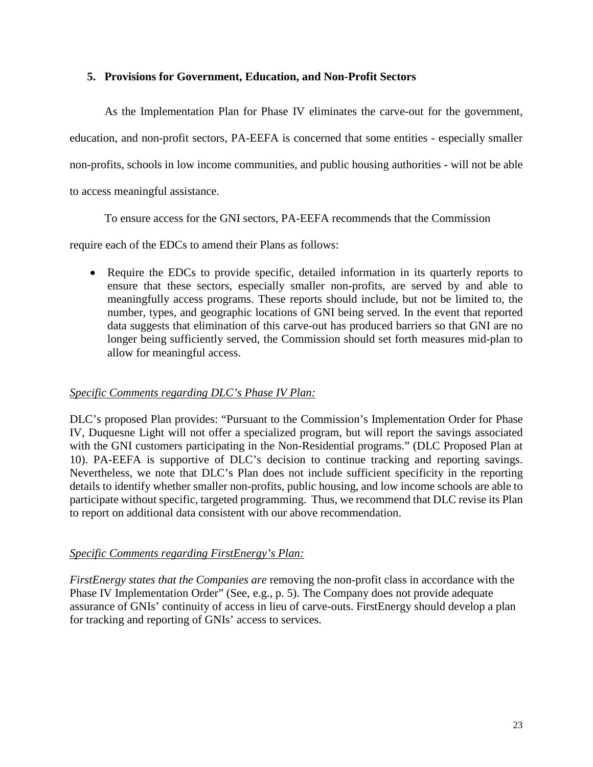## **5. Provisions for Government, Education, and Non-Profit Sectors**

As the Implementation Plan for Phase IV eliminates the carve-out for the government, education, and non-profit sectors, PA-EEFA is concerned that some entities - especially smaller non-profits, schools in low income communities, and public housing authorities - will not be able to access meaningful assistance.

To ensure access for the GNI sectors, PA-EEFA recommends that the Commission

require each of the EDCs to amend their Plans as follows:

• Require the EDCs to provide specific, detailed information in its quarterly reports to ensure that these sectors, especially smaller non-profits, are served by and able to meaningfully access programs. These reports should include, but not be limited to, the number, types, and geographic locations of GNI being served. In the event that reported data suggests that elimination of this carve-out has produced barriers so that GNI are no longer being sufficiently served, the Commission should set forth measures mid-plan to allow for meaningful access.

# *Specific Comments regarding DLC's Phase IV Plan:*

DLC's proposed Plan provides: "Pursuant to the Commission's Implementation Order for Phase IV, Duquesne Light will not offer a specialized program, but will report the savings associated with the GNI customers participating in the Non-Residential programs." (DLC Proposed Plan at 10). PA-EEFA is supportive of DLC's decision to continue tracking and reporting savings. Nevertheless, we note that DLC's Plan does not include sufficient specificity in the reporting details to identify whether smaller non-profits, public housing, and low income schools are able to participate without specific, targeted programming. Thus, we recommend that DLC revise its Plan to report on additional data consistent with our above recommendation.

# *Specific Comments regarding FirstEnergy's Plan:*

*FirstEnergy states that the Companies are* removing the non-profit class in accordance with the Phase IV Implementation Order" (See, e.g., p. 5). The Company does not provide adequate assurance of GNIs' continuity of access in lieu of carve-outs. FirstEnergy should develop a plan for tracking and reporting of GNIs' access to services.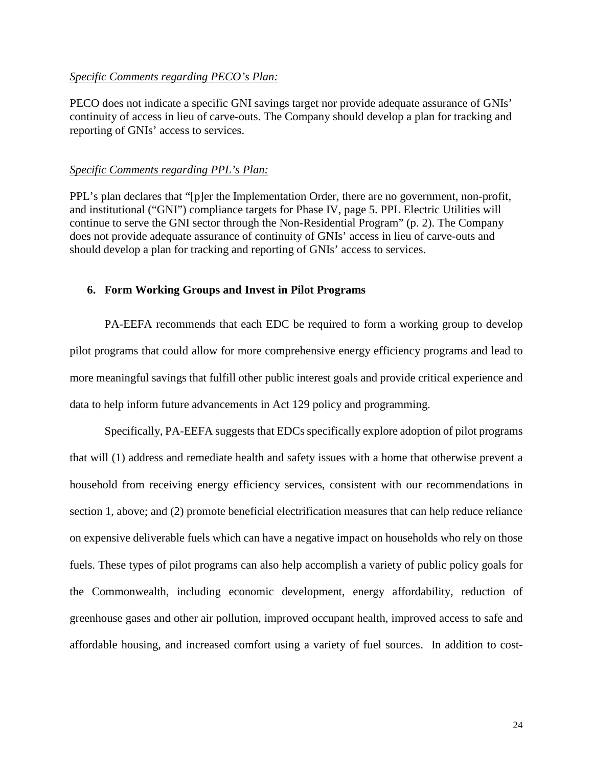#### *Specific Comments regarding PECO's Plan:*

PECO does not indicate a specific GNI savings target nor provide adequate assurance of GNIs' continuity of access in lieu of carve-outs. The Company should develop a plan for tracking and reporting of GNIs' access to services.

#### *Specific Comments regarding PPL's Plan:*

PPL's plan declares that "[p]er the Implementation Order, there are no government, non-profit, and institutional ("GNI") compliance targets for Phase IV, page 5. PPL Electric Utilities will continue to serve the GNI sector through the Non-Residential Program" (p. 2). The Company does not provide adequate assurance of continuity of GNIs' access in lieu of carve-outs and should develop a plan for tracking and reporting of GNIs' access to services.

#### **6. Form Working Groups and Invest in Pilot Programs**

PA-EEFA recommends that each EDC be required to form a working group to develop pilot programs that could allow for more comprehensive energy efficiency programs and lead to more meaningful savings that fulfill other public interest goals and provide critical experience and data to help inform future advancements in Act 129 policy and programming.

Specifically, PA-EEFA suggests that EDCs specifically explore adoption of pilot programs that will (1) address and remediate health and safety issues with a home that otherwise prevent a household from receiving energy efficiency services, consistent with our recommendations in section 1, above; and (2) promote beneficial electrification measures that can help reduce reliance on expensive deliverable fuels which can have a negative impact on households who rely on those fuels. These types of pilot programs can also help accomplish a variety of public policy goals for the Commonwealth, including economic development, energy affordability, reduction of greenhouse gases and other air pollution, improved occupant health, improved access to safe and affordable housing, and increased comfort using a variety of fuel sources. In addition to cost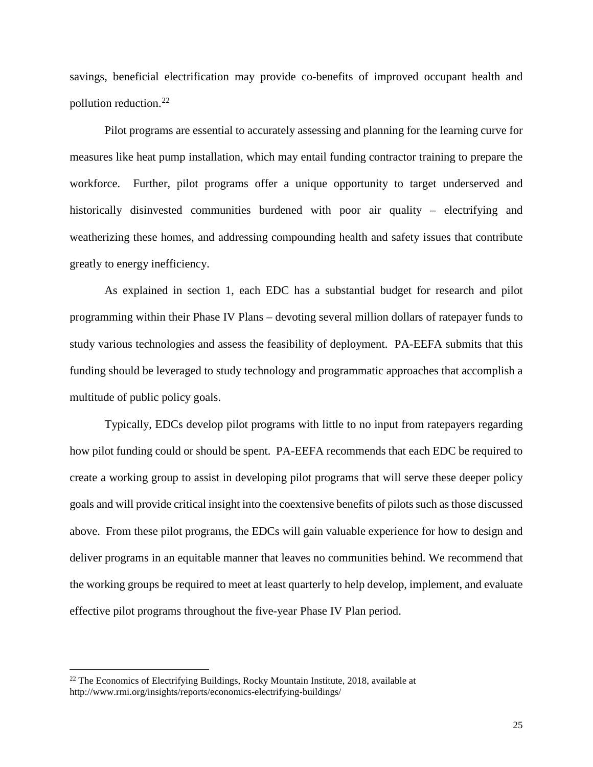savings, beneficial electrification may provide co-benefits of improved occupant health and pollution reduction. [22](#page-24-0)

Pilot programs are essential to accurately assessing and planning for the learning curve for measures like heat pump installation, which may entail funding contractor training to prepare the workforce. Further, pilot programs offer a unique opportunity to target underserved and historically disinvested communities burdened with poor air quality – electrifying and weatherizing these homes, and addressing compounding health and safety issues that contribute greatly to energy inefficiency.

As explained in section 1, each EDC has a substantial budget for research and pilot programming within their Phase IV Plans – devoting several million dollars of ratepayer funds to study various technologies and assess the feasibility of deployment. PA-EEFA submits that this funding should be leveraged to study technology and programmatic approaches that accomplish a multitude of public policy goals.

Typically, EDCs develop pilot programs with little to no input from ratepayers regarding how pilot funding could or should be spent. PA-EEFA recommends that each EDC be required to create a working group to assist in developing pilot programs that will serve these deeper policy goals and will provide critical insight into the coextensive benefits of pilots such as those discussed above. From these pilot programs, the EDCs will gain valuable experience for how to design and deliver programs in an equitable manner that leaves no communities behind. We recommend that the working groups be required to meet at least quarterly to help develop, implement, and evaluate effective pilot programs throughout the five-year Phase IV Plan period.

<span id="page-24-0"></span><sup>&</sup>lt;sup>22</sup> The Economics of Electrifying Buildings, Rocky Mountain Institute, 2018, available at http://www.rmi.org/insights/reports/economics-electrifying-buildings/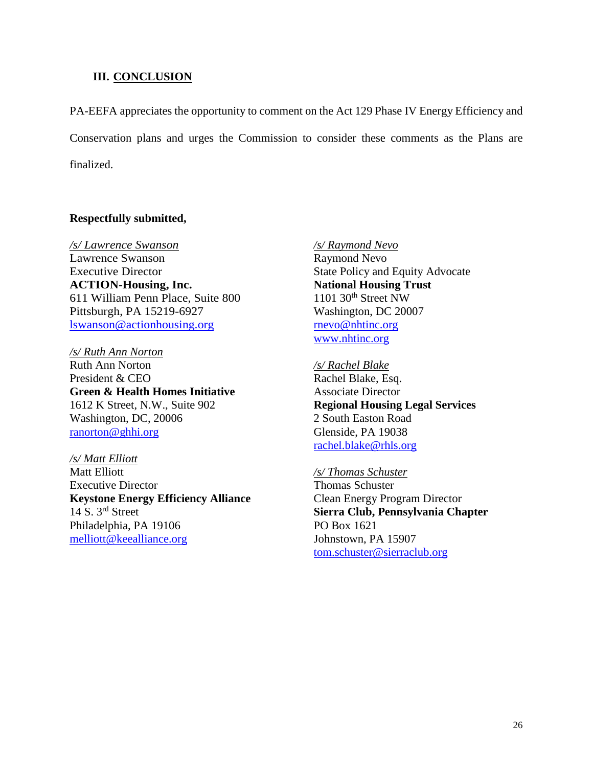#### **III. CONCLUSION**

PA-EEFA appreciates the opportunity to comment on the Act 129 Phase IV Energy Efficiency and Conservation plans and urges the Commission to consider these comments as the Plans are finalized.

#### **Respectfully submitted,**

*/s/ Lawrence Swanson*  Lawrence Swanson Executive Director **ACTION-Housing, Inc.** 611 William Penn Place, Suite 800 Pittsburgh, PA 15219-6927 [lswanson@actionhousing.org](mailto:lswanson@actionhousing.org)

*/s/ Ruth Ann Norton*  Ruth Ann Norton President & CEO **Green & Health Homes Initiative** 1612 K Street, N.W., Suite 902 Washington, DC, 20006 [ranorton@ghhi.org](mailto:ranorton@ghhi.org)

*/s/ Matt Elliott*  Matt Elliott Executive Director **Keystone Energy Efficiency Alliance** 14 S. 3rd Street Philadelphia, PA 19106 [melliott@keealliance.org](mailto:melliott@keealliance.org)

*/s/ Raymond Nevo*  Raymond Nevo State Policy and Equity Advocate **National Housing Trust**  $1101$  30<sup>th</sup> Street NW Washington, DC 20007 rnevo@nhtinc.org [www.nhtinc.org](http://www.nhtinc.org/)

*/s/ Rachel Blake*  Rachel Blake, Esq. Associate Director **Regional Housing Legal Services** 2 South Easton Road Glenside, PA 19038 [rachel.blake@rhls.org](mailto:rachel.blake@rhls.org)

#### */s/ Thomas Schuster*

Thomas Schuster Clean Energy Program Director **Sierra Club, Pennsylvania Chapter** PO Box 1621 Johnstown, PA 15907 [tom.schuster@sierraclub.org](mailto:tom.schuster@sierraclub.org)